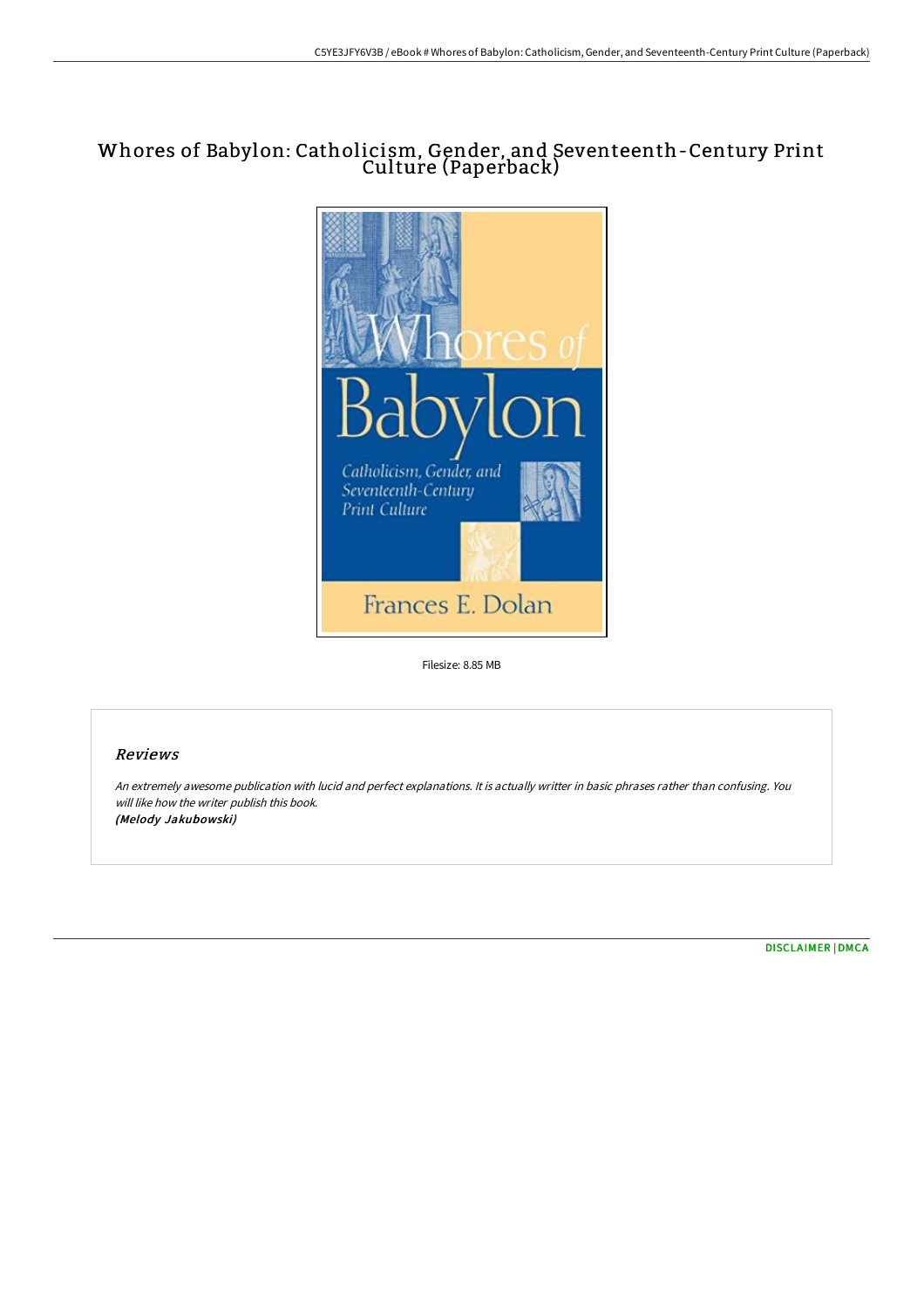# Whores of Babylon: Catholicism, Gender, and Seventeenth-Century Print Culture (Paperback)



Filesize: 8.85 MB

## Reviews

An extremely awesome publication with lucid and perfect explanations. It is actually writter in basic phrases rather than confusing. You will like how the writer publish this book. (Melody Jakubowski)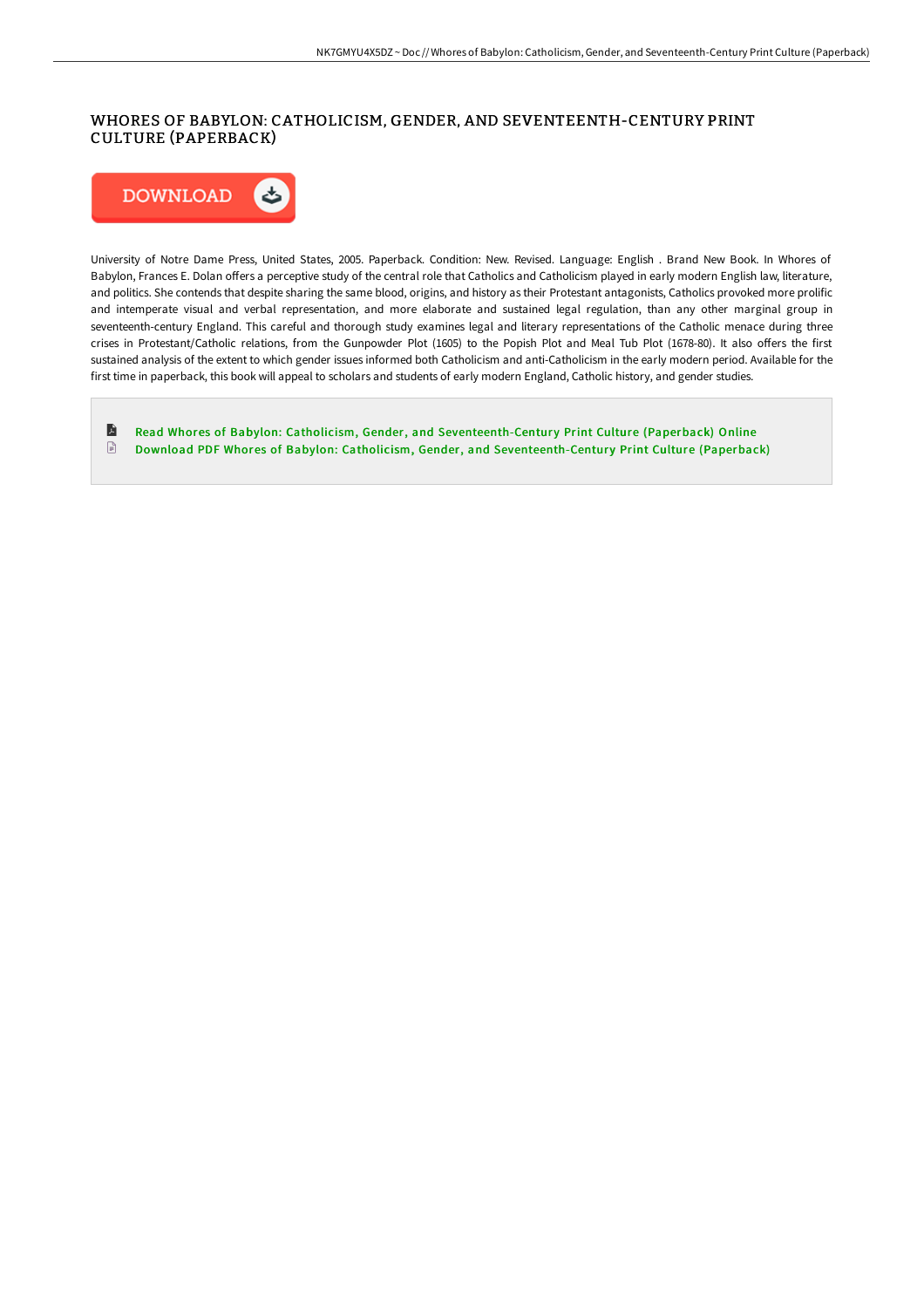## WHORES OF BABYLON: CATHOLICISM, GENDER, AND SEVENTEENTH-CENTURY PRINT CULTURE (PAPERBACK)



University of Notre Dame Press, United States, 2005. Paperback. Condition: New. Revised. Language: English . Brand New Book. In Whores of Babylon, Frances E. Dolan offers a perceptive study of the central role that Catholics and Catholicism played in early modern English law, literature, and politics. She contends that despite sharing the same blood, origins, and history as their Protestant antagonists, Catholics provoked more prolific and intemperate visual and verbal representation, and more elaborate and sustained legal regulation, than any other marginal group in seventeenth-century England. This careful and thorough study examines legal and literary representations of the Catholic menace during three crises in Protestant/Catholic relations, from the Gunpowder Plot (1605) to the Popish Plot and Meal Tub Plot (1678-80). It also offers the first sustained analysis of the extent to which gender issues informed both Catholicism and anti-Catholicism in the early modern period. Available for the first time in paperback, this book will appeal to scholars and students of early modern England, Catholic history, and gender studies.

E Read Whores of Babylon: Catholicism, Gender, and [Seventeenth-Centur](http://bookera.tech/whores-of-babylon-catholicism-gender-and-sevente.html)y Print Culture (Paperback) Online  $\mathbb{R}$ Download PDF Whores of Babylon: Catholicism, Gender, and [Seventeenth-Centur](http://bookera.tech/whores-of-babylon-catholicism-gender-and-sevente.html)y Print Culture (Paperback)